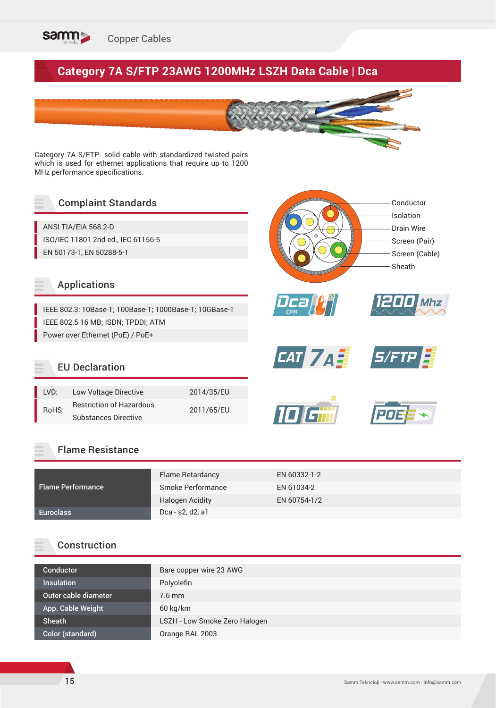

# **Category 7A S/FTP 23AWG 1200MHz LSZH Data Cable | Dca**

Category 7A S/FTP solid cable with standardized twisted pairs which is used for ethernet applications that require up to 1200 MHz performance specifications.

### Complaint Standards

ANSI TIA/EIA 568.2-D ISO/IEC 11801 2nd ed., IEC 61156-5 EN 50173-1, EN 50288-5-1

#### Applications

IEEE 802.3: 10Base-T; 100Base-T; 1000Base-T; 10GBase-T IEEE 802.5 16 MB; ISDN; TPDDI; ATM Power over Ethernet (PoE) / PoE+

#### EU Declaration

| I VD: | Low Voltage Directive           | 2014/35/EU |  |  |
|-------|---------------------------------|------------|--|--|
| RoHS: | <b>Restriction of Hazardous</b> | 2011/65/EU |  |  |
|       | <b>Substances Directive</b>     |            |  |  |

#### Flame Resistance

|                          | <b>Flame Retardancy</b> | EN 60332-1-2 |
|--------------------------|-------------------------|--------------|
| <b>Flame Performance</b> | Smoke Performance       | EN 61034-2   |
|                          | <b>Halogen Acidity</b>  | EN 60754-1/2 |
| <b>Euroclass</b>         | Dca - s2, d2, a1        |              |

#### Construction

| Bare copper wire 23 AWG       |
|-------------------------------|
| Polyolefin                    |
| $7.6$ mm                      |
| 60 kg/km                      |
| LSZH - Low Smoke Zero Halogen |
| Orange RAL 2003               |
|                               |

*Mhz*

Conductor Isolation Drain Wire Screen (Pair) Screen (Cable)

Sheath

*1200*

*CAT 7 A 3 5/FTP* 

*Dca CPR*